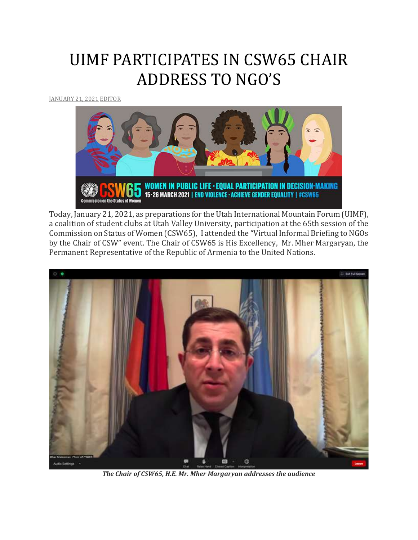## UIMF PARTICIPATES IN CSW65 CHAIR ADDRESS TO NGO'S

[JANUARY](http://utahimf.org/archives/5868) 21, 2021 [EDITOR](http://utahimf.org/archives/author/editor)



Today, January 21, 2021, as preparations for the Utah International Mountain Forum (UIMF), a coalition of student clubs at Utah Valley University, participation at the 65th session of the Commission on Status of Women (CSW65), I attended the "Virtual Informal Briefing to NGOs by the Chair of CSW" event. The Chair of CSW65 is His Excellency, Mr. Mher Margaryan, the Permanent Representative of the Republic of Armenia to the United Nations.



*The Chair of CSW65, H.E. Mr. Mher Margaryan addresses the audience*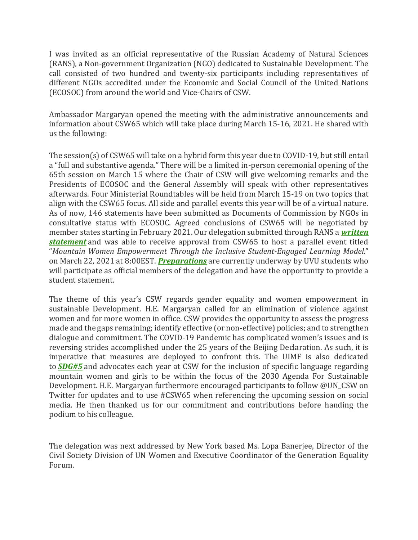I was invited as an official representative of the Russian Academy of Natural Sciences (RANS), a Non-government Organization (NGO) dedicated to Sustainable Development. The call consisted of two hundred and twenty-six participants including representatives of different NGOs accredited under the Economic and Social Council of the United Nations (ECOSOC) from around the world and Vice-Chairs of CSW.

Ambassador Margaryan opened the meeting with the administrative announcements and information about CSW65 which will take place during March 15-16, 2021. He shared with us the following:

The session(s) of CSW65 will take on a hybrid form this year due to COVID-19, but still entail a "full and substantive agenda." There will be a limited in-person ceremonial opening of the 65th session on March 15 where the Chair of CSW will give welcoming remarks and the Presidents of ECOSOC and the General Assembly will speak with other representatives afterwards. Four Ministerial Roundtables will be held from March 15-19 on two topics that align with the CSW65 focus. All side and parallel events this year will be of a virtual nature. As of now, 146 statements have been submitted as Documents of Commission by NGOs in consultative status with ECOSOC. Agreed conclusions of CSW65 will be negotiated by member states starting in February 2021. Our delegation submitted through RANS a *[written](https://undocs.org/E/CN.6/2021/NGO/125) [statement](https://undocs.org/E/CN.6/2021/NGO/125)* and was able to receive approval from CSW65 to host a parallel event titled "*Mountain Women Empowerment Through the Inclusive Student-Engaged Learning Model.*" on March 22, 2021 at 8:00EST. *[Preparations](http://utahimf.org/archives/5863)* are currently underway by UVU students who will participate as official members of the delegation and have the opportunity to provide a student statement.

The theme of this year's CSW regards gender equality and women empowerment in sustainable Development. H.E. Margaryan called for an elimination of violence against women and for more women in office. CSW provides the opportunity to assess the progress made and the gaps remaining; identify effective (or non-effective) policies; and to strengthen dialogue and commitment. The COVID-19 Pandemic has complicated women's issues and is reversing strides accomplished under the 25 years of the Beijing Declaration. As such, it is imperative that measures are deployed to confront this. The UIMF is also dedicated to *[SDG#5](https://www.un.org/sustainabledevelopment/gender-equality/)* and advocates each year at CSW for the inclusion of specific language regarding mountain women and girls to be within the focus of the 2030 Agenda For Sustainable Development. H.E. Margaryan furthermore encouraged participants to follow @UN\_CSW on Twitter for updates and to use #CSW65 when referencing the upcoming session on social media. He then thanked us for our commitment and contributions before handing the podium to his colleague.

The delegation was next addressed by New York based Ms. Lopa Banerjee, Director of the Civil Society Division of UN Women and Executive Coordinator of the Generation Equality Forum.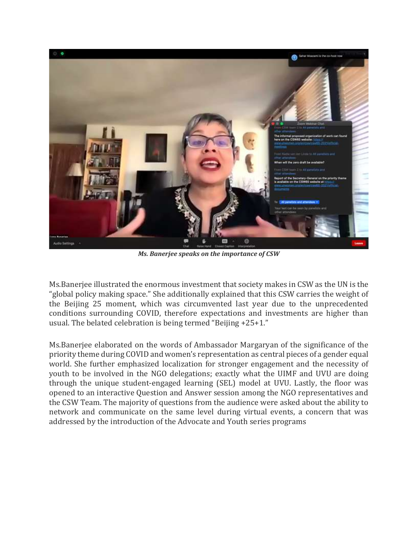

*Ms. Banerjee speaks on the importance of CSW*

Ms.Banerjee illustrated the enormous investment that society makes in CSW as the UN is the "global policy making space." She additionally explained that this CSW carries the weight of the Beijing 25 moment, which was circumvented last year due to the unprecedented conditions surrounding COVID, therefore expectations and investments are higher than usual. The belated celebration is being termed "Beijing +25+1."

Ms.Banerjee elaborated on the words of Ambassador Margaryan of the significance of the priority theme during COVID and women's representation as central pieces of a gender equal world. She further emphasized localization for stronger engagement and the necessity of youth to be involved in the NGO delegations; exactly what the UIMF and UVU are doing through the unique student-engaged learning (SEL) model at UVU. Lastly, the floor was opened to an interactive Question and Answer session among the NGO representatives and the CSW Team. The majority of questions from the audience were asked about the ability to network and communicate on the same level during virtual events, a concern that was addressed by the introduction of the Advocate and Youth series programs